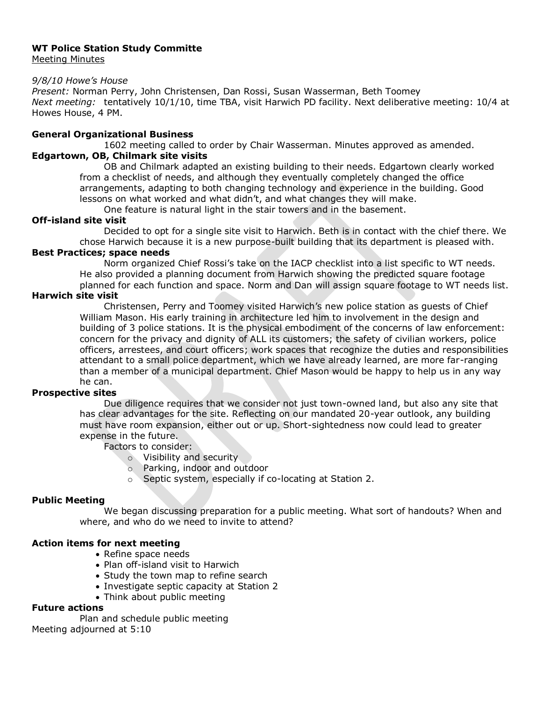# **WT Police Station Study Committe**

Meeting Minutes

#### *9/8/10 Howe's House*

*Present:* Norman Perry, John Christensen, Dan Rossi, Susan Wasserman, Beth Toomey *Next meeting:* tentatively 10/1/10, time TBA, visit Harwich PD facility. Next deliberative meeting: 10/4 at Howes House, 4 PM.

### **General Organizational Business**

1602 meeting called to order by Chair Wasserman. Minutes approved as amended.

## **Edgartown, OB, Chilmark site visits**

OB and Chilmark adapted an existing building to their needs. Edgartown clearly worked from a checklist of needs, and although they eventually completely changed the office arrangements, adapting to both changing technology and experience in the building. Good lessons on what worked and what didn't, and what changes they will make.

One feature is natural light in the stair towers and in the basement.

## **Off-island site visit**

Decided to opt for a single site visit to Harwich. Beth is in contact with the chief there. We chose Harwich because it is a new purpose-built building that its department is pleased with.

### **Best Practices; space needs**

Norm organized Chief Rossi's take on the IACP checklist into a list specific to WT needs. He also provided a planning document from Harwich showing the predicted square footage planned for each function and space. Norm and Dan will assign square footage to WT needs list.

### **Harwich site visit**

Christensen, Perry and Toomey visited Harwich's new police station as guests of Chief William Mason. His early training in architecture led him to involvement in the design and building of 3 police stations. It is the physical embodiment of the concerns of law enforcement: concern for the privacy and dignity of ALL its customers; the safety of civilian workers, police officers, arrestees, and court officers; work spaces that recognize the duties and responsibilities attendant to a small police department, which we have already learned, are more far-ranging than a member of a municipal department. Chief Mason would be happy to help us in any way he can.

## **Prospective sites**

Due diligence requires that we consider not just town-owned land, but also any site that has clear advantages for the site. Reflecting on our mandated 20-year outlook, any building must have room expansion, either out or up. Short-sightedness now could lead to greater expense in the future.

Factors to consider:

- o Visibility and security
- o Parking, indoor and outdoor
- o Septic system, especially if co-locating at Station 2.

### **Public Meeting**

We began discussing preparation for a public meeting. What sort of handouts? When and where, and who do we need to invite to attend?

### **Action items for next meeting**

- Refine space needs
- Plan off-island visit to Harwich
- Study the town map to refine search
- Investigate septic capacity at Station 2
- Think about public meeting

## **Future actions**

Plan and schedule public meeting Meeting adjourned at 5:10